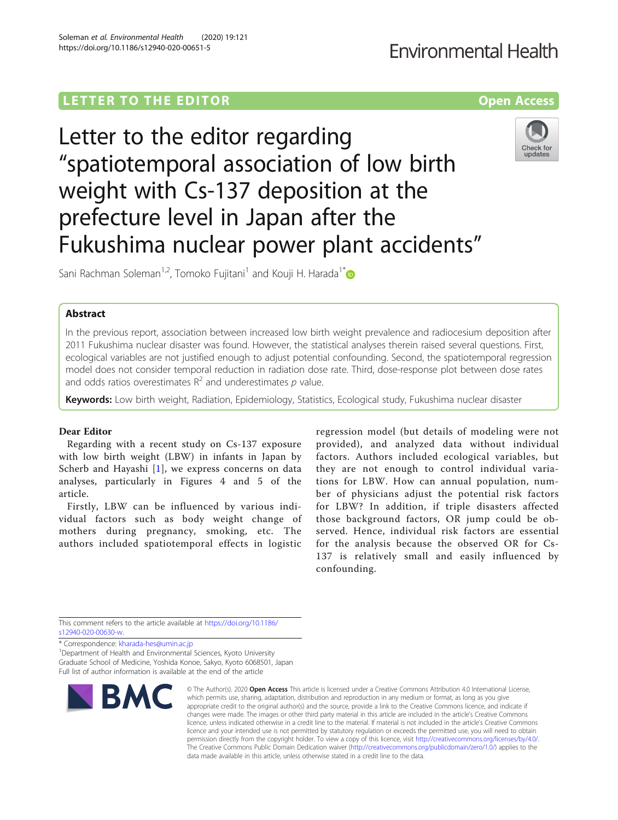### **Environmental Health**

## L E T T ER TOR OPEN ACCESS TO THE EXPLORATION OF THE EXPLORATION OF THE EXPLORATION OF THE EXPLORATION OF THE <br>[Access](http://crossmark.crossref.org/dialog/?doi=10.1186/s12940-020-00651-5&domain=pdf) to the exploration of the exploration of the exploration of the exploration of the exploration of the e

# Letter to the editor regarding "spatiotemporal association of low birth weight with Cs-137 deposition at the prefecture level in Japan after the Fukushima nuclear power plant accidents"



Sani Rachman Soleman<sup>1,2</sup>, Tomoko Fujitani<sup>1</sup> and Kouji H. Harada<sup>1[\\*](http://orcid.org/0000-0001-7319-123X)</sup>

### **Abstract**

In the previous report, association between increased low birth weight prevalence and radiocesium deposition after 2011 Fukushima nuclear disaster was found. However, the statistical analyses therein raised several questions. First, ecological variables are not justified enough to adjust potential confounding. Second, the spatiotemporal regression model does not consider temporal reduction in radiation dose rate. Third, dose-response plot between dose rates and odds ratios overestimates  $R^2$  and underestimates p value.

Keywords: Low birth weight, Radiation, Epidemiology, Statistics, Ecological study, Fukushima nuclear disaster

#### Dear Editor

Regarding with a recent study on Cs-137 exposure with low birth weight (LBW) in infants in Japan by Scherb and Hayashi [\[1](#page-1-0)], we express concerns on data analyses, particularly in Figures 4 and 5 of the article.

Firstly, LBW can be influenced by various individual factors such as body weight change of mothers during pregnancy, smoking, etc. The authors included spatiotemporal effects in logistic

regression model (but details of modeling were not provided), and analyzed data without individual factors. Authors included ecological variables, but they are not enough to control individual variations for LBW. How can annual population, number of physicians adjust the potential risk factors for LBW? In addition, if triple disasters affected those background factors, OR jump could be observed. Hence, individual risk factors are essential for the analysis because the observed OR for Cs-137 is relatively small and easily influenced by confounding.

This comment refers to the article available at [https://doi.org/10.1186/](https://doi.org/10.1186/s12940-020-00630-w) [s12940-020-00630-w](https://doi.org/10.1186/s12940-020-00630-w).

\* Correspondence: [kharada-hes@umin.ac.jp](mailto:kharada-hes@umin.ac.jp) <sup>1</sup>

<sup>1</sup> Department of Health and Environmental Sciences, Kyoto University Graduate School of Medicine, Yoshida Konoe, Sakyo, Kyoto 6068501, Japan Full list of author information is available at the end of the article



© The Author(s), 2020 **Open Access** This article is licensed under a Creative Commons Attribution 4.0 International License, which permits use, sharing, adaptation, distribution and reproduction in any medium or format, as long as you give appropriate credit to the original author(s) and the source, provide a link to the Creative Commons licence, and indicate if changes were made. The images or other third party material in this article are included in the article's Creative Commons licence, unless indicated otherwise in a credit line to the material. If material is not included in the article's Creative Commons licence and your intended use is not permitted by statutory regulation or exceeds the permitted use, you will need to obtain permission directly from the copyright holder. To view a copy of this licence, visit [http://creativecommons.org/licenses/by/4.0/.](http://creativecommons.org/licenses/by/4.0/) The Creative Commons Public Domain Dedication waiver [\(http://creativecommons.org/publicdomain/zero/1.0/](http://creativecommons.org/publicdomain/zero/1.0/)) applies to the data made available in this article, unless otherwise stated in a credit line to the data.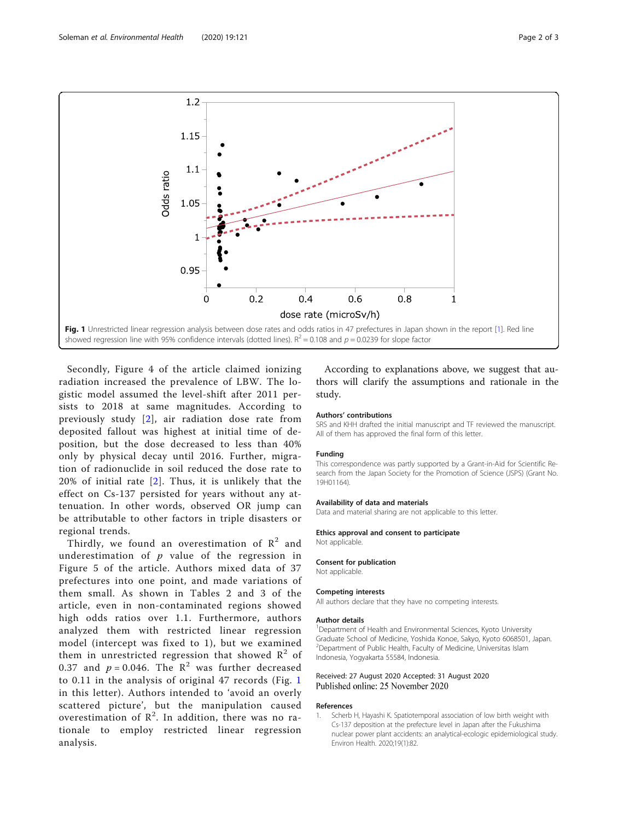<span id="page-1-0"></span>

Secondly, Figure 4 of the article claimed ionizing radiation increased the prevalence of LBW. The logistic model assumed the level-shift after 2011 persists to 2018 at same magnitudes. According to previously study [\[2\]](#page-2-0), air radiation dose rate from deposited fallout was highest at initial time of deposition, but the dose decreased to less than 40% only by physical decay until 2016. Further, migration of radionuclide in soil reduced the dose rate to 20% of initial rate [[2\]](#page-2-0). Thus, it is unlikely that the effect on Cs-137 persisted for years without any attenuation. In other words, observed OR jump can be attributable to other factors in triple disasters or regional trends.

Thirdly, we found an overestimation of  $\mathbb{R}^2$  and underestimation of  $p$  value of the regression in Figure 5 of the article. Authors mixed data of 37 prefectures into one point, and made variations of them small. As shown in Tables 2 and 3 of the article, even in non-contaminated regions showed high odds ratios over 1.1. Furthermore, authors analyzed them with restricted linear regression model (intercept was fixed to 1), but we examined them in unrestricted regression that showed  $\mathbb{R}^2$  of 0.37 and  $p = 0.046$ . The  $\mathbb{R}^2$  was further decreased to 0.11 in the analysis of original 47 records (Fig. 1 in this letter). Authors intended to 'avoid an overly scattered picture', but the manipulation caused overestimation of  $\mathbb{R}^2$ . In addition, there was no rationale to employ restricted linear regression analysis.

According to explanations above, we suggest that authors will clarify the assumptions and rationale in the study.

#### Authors' contributions

SRS and KHH drafted the initial manuscript and TF reviewed the manuscript. All of them has approved the final form of this letter.

#### Funding

This correspondence was partly supported by a Grant-in-Aid for Scientific Research from the Japan Society for the Promotion of Science (JSPS) (Grant No. 19H01164).

#### Availability of data and materials

Data and material sharing are not applicable to this letter.

#### Ethics approval and consent to participate

Not applicable.

#### Consent for publication

Not applicable.

#### Competing interests

All authors declare that they have no competing interests.

#### Author details

<sup>1</sup>Department of Health and Environmental Sciences, Kyoto University Graduate School of Medicine, Yoshida Konoe, Sakyo, Kyoto 6068501, Japan. 2 Department of Public Health, Faculty of Medicine, Universitas Islam Indonesia, Yogyakarta 55584, Indonesia.

#### Received: 27 August 2020 Accepted: 31 August 2020 Published online: 25 November 2020

#### References

Scherb H, Hayashi K. Spatiotemporal association of low birth weight with Cs-137 deposition at the prefecture level in Japan after the Fukushima nuclear power plant accidents: an analytical-ecologic epidemiological study. Environ Health. 2020;19(1):82.